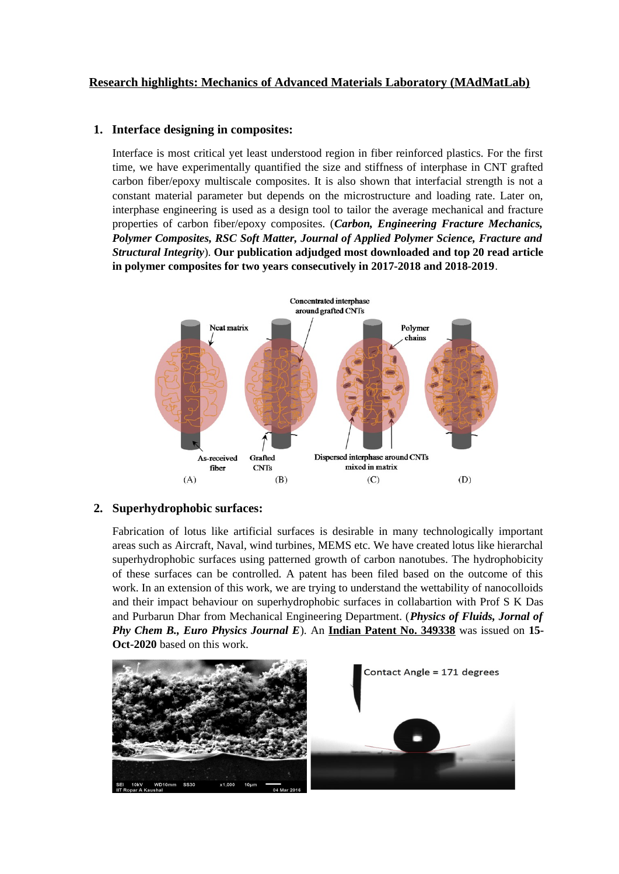# **Research highlights: Mechanics of Advanced Materials Laboratory (MAdMatLab)**

### **1. Interface designing in composites:**

Interface is most critical yet least understood region in fiber reinforced plastics. For the first time, we have experimentally quantified the size and stiffness of interphase in CNT grafted carbon fiber/epoxy multiscale composites. It is also shown that interfacial strength is not a constant material parameter but depends on the microstructure and loading rate. Later on, interphase engineering is used as a design tool to tailor the average mechanical and fracture properties of carbon fiber/epoxy composites. (*Carbon, Engineering Fracture Mechanics, Polymer Composites, RSC Soft Matter, Journal of Applied Polymer Science, Fracture and Structural Integrity*). **Our publication adjudged most downloaded and top 20 read article in polymer composites for two years consecutively in 2017-2018 and 2018-2019**.



## **2. Superhydrophobic surfaces:**

Fabrication of lotus like artificial surfaces is desirable in many technologically important areas such as Aircraft, Naval, wind turbines, MEMS etc. We have created lotus like hierarchal superhydrophobic surfaces using patterned growth of carbon nanotubes. The hydrophobicity of these surfaces can be controlled. A patent has been filed based on the outcome of this work. In an extension of this work, we are trying to understand the wettability of nanocolloids and their impact behaviour on superhydrophobic surfaces in collabartion with Prof S K Das and Purbarun Dhar from Mechanical Engineering Department. (*Physics of Fluids, Jornal of Phy Chem B., Euro Physics Journal E*). An **Indian Patent No. 349338** was issued on **15- Oct-2020** based on this work.

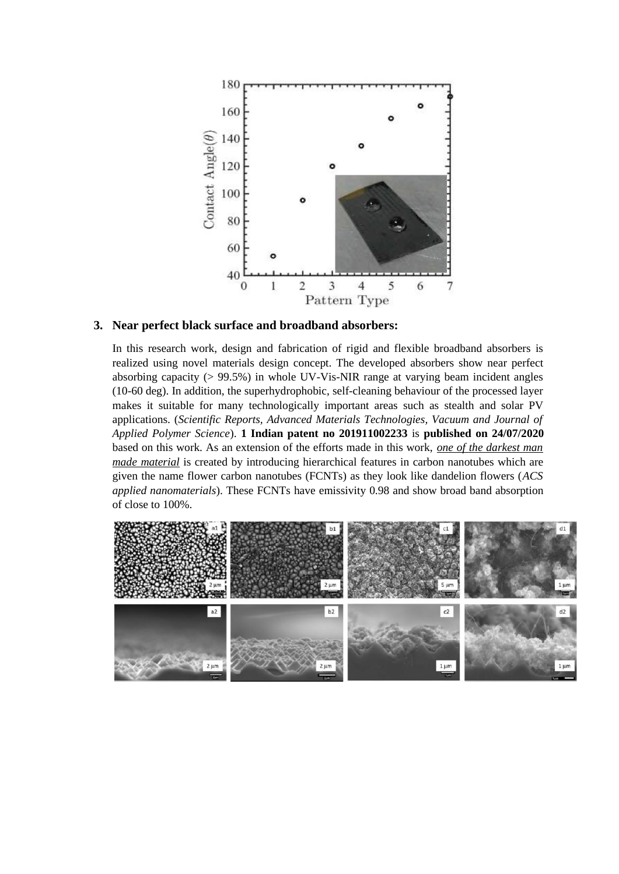

#### **3. Near perfect black surface and broadband absorbers:**

In this research work, design and fabrication of rigid and flexible broadband absorbers is realized using novel materials design concept. The developed absorbers show near perfect absorbing capacity (> 99.5%) in whole UV-Vis-NIR range at varying beam incident angles (10-60 deg). In addition, the superhydrophobic, self-cleaning behaviour of the processed layer makes it suitable for many technologically important areas such as stealth and solar PV applications. (*Scientific Reports, Advanced Materials Technologies, Vacuum and Journal of Applied Polymer Science*). **1 Indian patent no 201911002233** is **published on 24/07/2020** based on this work. As an extension of the efforts made in this work, *one of the darkest man made material* is created by introducing hierarchical features in carbon nanotubes which are given the name flower carbon nanotubes (FCNTs) as they look like dandelion flowers (*ACS applied nanomaterials*). These FCNTs have emissivity 0.98 and show broad band absorption of close to 100%.

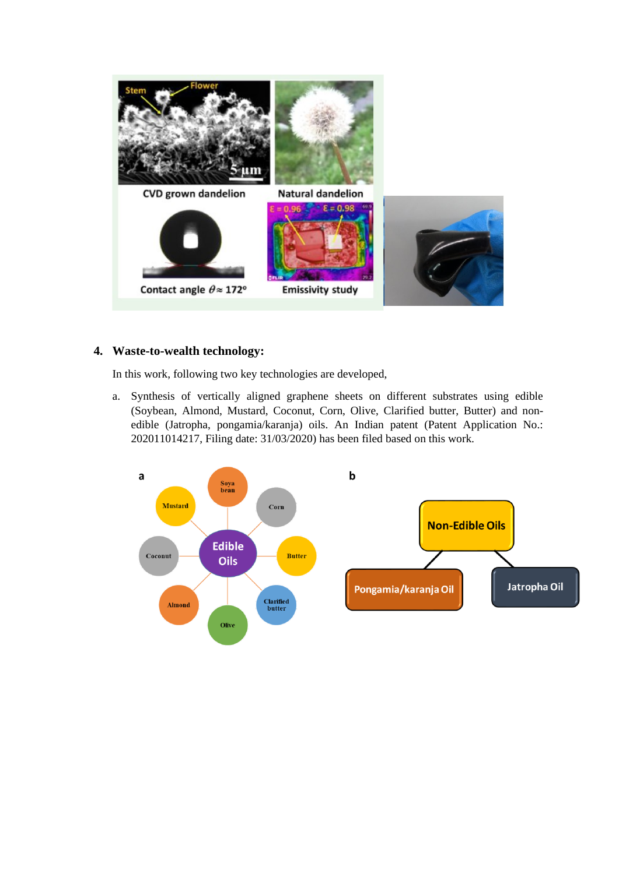

#### **4. Waste-to-wealth technology:**

In this work, following two key technologies are developed,

a. Synthesis of vertically aligned graphene sheets on different substrates using edible (Soybean, Almond, Mustard, Coconut, Corn, Olive, Clarified butter, Butter) and nonedible (Jatropha, pongamia/karanja) oils. An Indian patent (Patent Application No.: 202011014217, Filing date: 31/03/2020) has been filed based on this work.